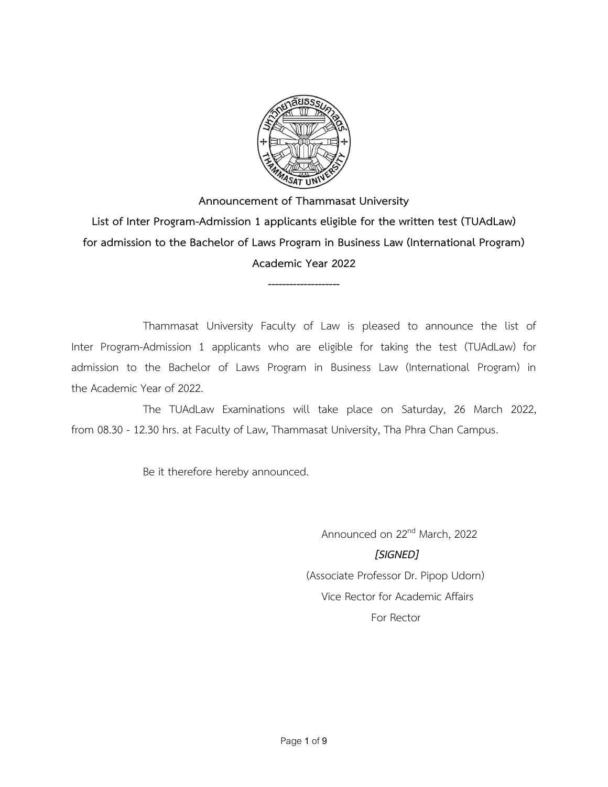

**--------------------**

Thammasat University Faculty of Law is pleased to announce the list of Inter Program-Admission 1 applicants who are eligible for taking the test (TUAdLaw) for admission to the Bachelor of Laws Program in Business Law (International Program) in the Academic Year of 2022.

The TUAdLaw Examinations will take place on Saturday, 26 March 2022, from 08.30 - 12.30 hrs. at Faculty of Law, Thammasat University, Tha Phra Chan Campus.

Be it therefore hereby announced.

Announced on 22nd March, 2022  *[SIGNED]* (Associate Professor Dr. Pipop Udorn) Vice Rector for Academic Affairs For Rector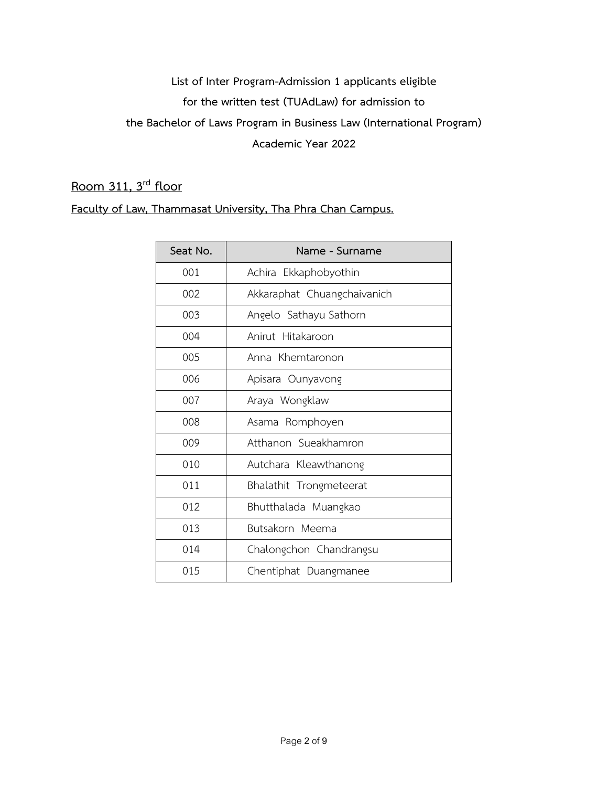## **Room 311, 3rd floor**

| Seat No. | Name - Surname              |
|----------|-----------------------------|
| 001      | Achira Ekkaphobyothin       |
| 002      | Akkaraphat Chuangchaivanich |
| 003      | Angelo Sathayu Sathorn      |
| 004      | Anirut Hitakaroon           |
| 005      | Anna Khemtaronon            |
| 006      | Apisara Ounyavong           |
| 007      | Araya Wongklaw              |
| 008      | Asama Romphoyen             |
| 009      | Atthanon Sueakhamron        |
| 010      | Autchara Kleawthanong       |
| 011      | Bhalathit Trongmeteerat     |
| 012      | Bhutthalada Muangkao        |
| 013      | Butsakorn Meema             |
| 014      | Chalongchon Chandrangsu     |
| 015      | Chentiphat Duangmanee       |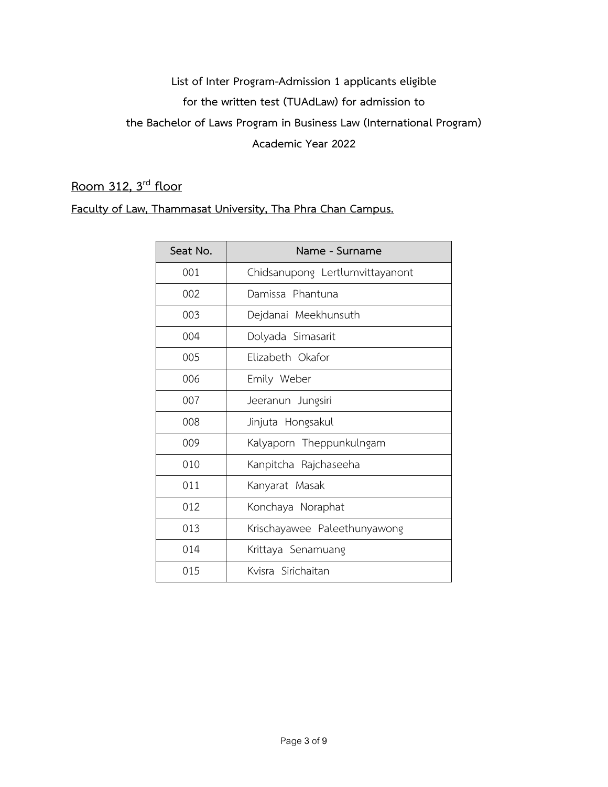## **Room 312, 3rd floor**

| Seat No. | Name - Surname                  |
|----------|---------------------------------|
| 001      | Chidsanupong Lertlumvittayanont |
| 002      | Damissa Phantuna                |
| 003      | Dejdanai Meekhunsuth            |
| 004      | Dolyada Simasarit               |
| 005      | Elizabeth Okafor                |
| 006      | Emily Weber                     |
| 007      | Jeeranun Jungsiri               |
| 008      | Jinjuta Hongsakul               |
| 009      | Kalyaporn Theppunkulngam        |
| 010      | Kanpitcha Rajchaseeha           |
| 011      | Kanyarat Masak                  |
| 012      | Konchaya Noraphat               |
| 013      | Krischayawee Paleethunyawong    |
| 014      | Krittaya Senamuang              |
| 015      | Kvisra Sirichaitan              |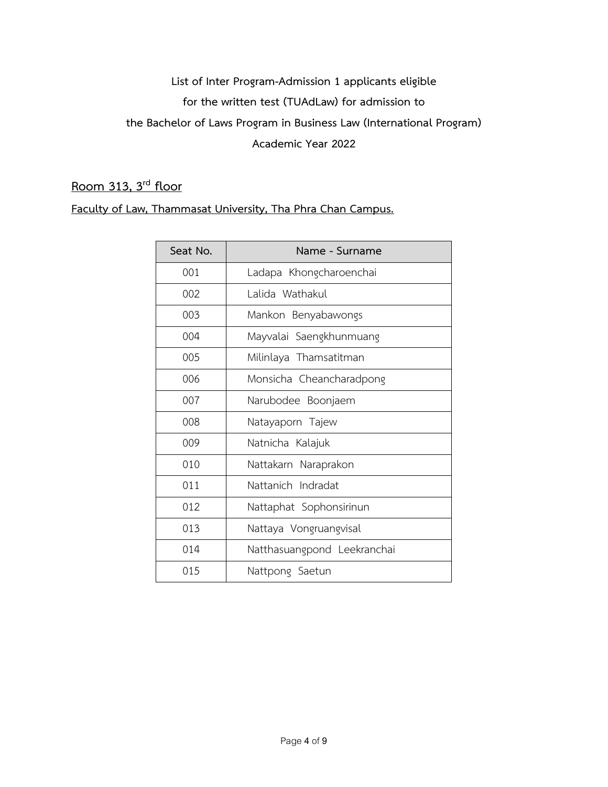## **Room 313, 3rd floor**

| Seat No. | Name - Surname              |
|----------|-----------------------------|
| 001      | Ladapa Khongcharoenchai     |
| 002      | Lalida Wathakul             |
| 003      | Mankon Benyabawongs         |
| 004      | Mayvalai Saengkhunmuang     |
| 005      | Milinlaya Thamsatitman      |
| 006      | Monsicha Cheancharadpong    |
| 007      | Narubodee Boonjaem          |
| 008      | Natayaporn Tajew            |
| 009      | Natnicha Kalajuk            |
| 010      | Nattakarn Naraprakon        |
| 011      | Nattanich Indradat          |
| 012      | Nattaphat Sophonsirinun     |
| 013      | Nattaya Vongruangvisal      |
| 014      | Natthasuangpond Leekranchai |
| 015      | Nattpong Saetun             |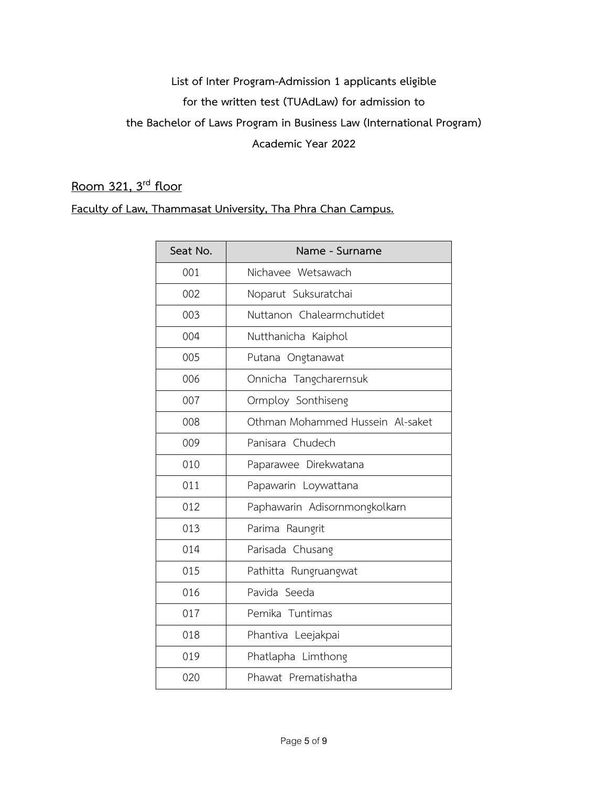## **Room 321, 3rd floor**

| Seat No. | Name - Surname                   |
|----------|----------------------------------|
| 001      | Nichavee Wetsawach               |
| 002      | Noparut Suksuratchai             |
| 003      | Nuttanon Chalearmchutidet        |
| 004      | Nutthanicha Kaiphol              |
| 005      | Putana Ongtanawat                |
| 006      | Onnicha Tangcharernsuk           |
| 007      | Ormploy Sonthiseng               |
| 008      | Othman Mohammed Hussein Al-saket |
| 009      | Panisara Chudech                 |
| 010      | Paparawee Direkwatana            |
| 011      | Papawarin Loywattana             |
| 012      | Paphawarin Adisornmongkolkarn    |
| 013      | Parima Raungrit                  |
| 014      | Parisada Chusang                 |
| 015      | Pathitta Rungruangwat            |
| 016      | Pavida Seeda                     |
| 017      | Pemika Tuntimas                  |
| 018      | Phantiva Leejakpai               |
| 019      | Phatlapha Limthong               |
| 020      | Phawat Prematishatha             |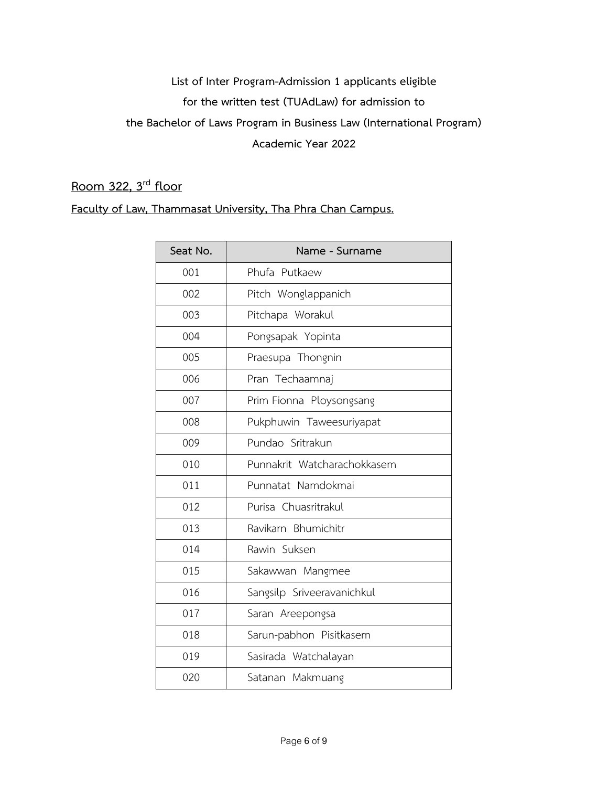## **Room 322, 3rd floor**

| Seat No. | Name - Surname              |
|----------|-----------------------------|
| 001      | Phufa Putkaew               |
| 002      | Pitch Wonglappanich         |
| 003      | Pitchapa Worakul            |
| 004      | Pongsapak Yopinta           |
| 005      | Praesupa Thongnin           |
| 006      | Pran Techaamnaj             |
| 007      | Prim Fionna Ploysongsang    |
| 008      | Pukphuwin Taweesuriyapat    |
| 009      | Pundao Sritrakun            |
| 010      | Punnakrit Watcharachokkasem |
| 011      | Punnatat Namdokmai          |
| 012      | Purisa Chuasritrakul        |
| 013      | Ravikarn Bhumichitr         |
| 014      | Rawin Suksen                |
| 015      | Sakawwan Mangmee            |
| 016      | Sangsilp Sriveeravanichkul  |
| 017      | Saran Areepongsa            |
| 018      | Sarun-pabhon Pisitkasem     |
| 019      | Sasirada Watchalayan        |
| 020      | Satanan Makmuang            |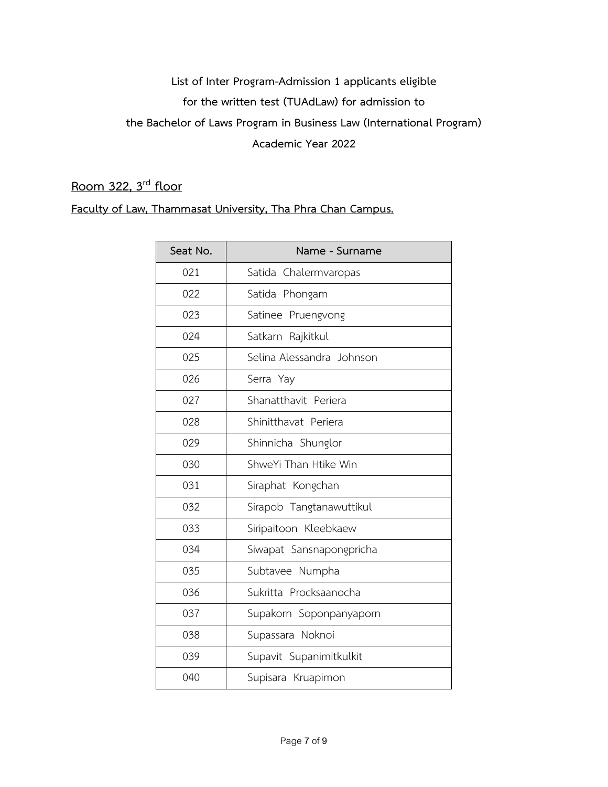## **Room 322, 3rd floor**

| Seat No. | Name - Surname            |
|----------|---------------------------|
| 021      | Satida Chalermvaropas     |
| 022      | Satida Phongam            |
| 023      | Satinee Pruengvong        |
| 024      | Satkarn Rajkitkul         |
| 025      | Selina Alessandra Johnson |
| 026      | Serra Yay                 |
| 027      | Shanatthavit Periera      |
| 028      | Shinitthavat Periera      |
| 029      | Shinnicha Shunglor        |
| 030      | ShweYi Than Htike Win     |
| 031      | Siraphat Kongchan         |
| 032      | Sirapob Tangtanawuttikul  |
| 033      | Siripaitoon Kleebkaew     |
| 034      | Siwapat Sansnapongpricha  |
| 035      | Subtavee Numpha           |
| 036      | Sukritta Procksaanocha    |
| 037      | Supakorn Soponpanyaporn   |
| 038      | Supassara Noknoi          |
| 039      | Supavit Supanimitkulkit   |
| 040      | Supisara Kruapimon        |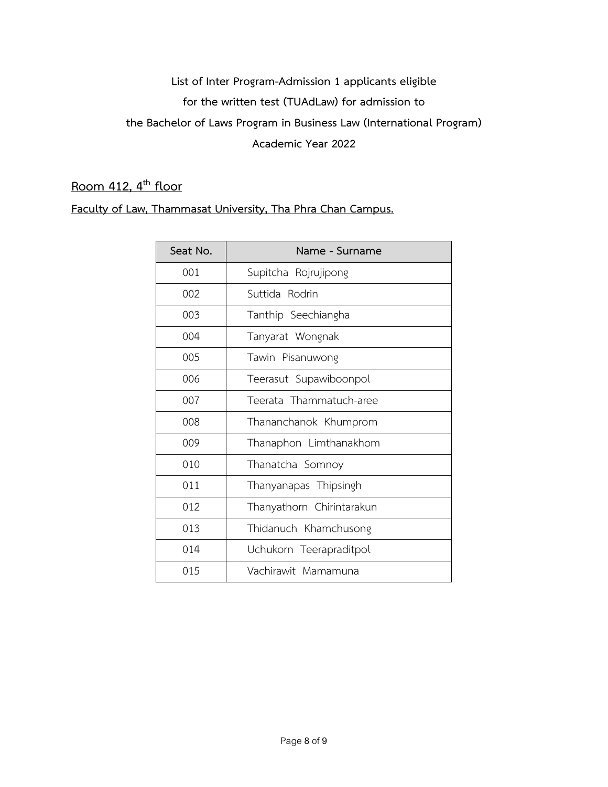## **Room 412, 4 th floor**

| Seat No. | Name - Surname            |
|----------|---------------------------|
| 001      | Supitcha Rojrujipong      |
| 002      | Suttida Rodrin            |
| 003      | Tanthip Seechiangha       |
| 004      | Tanyarat Wongnak          |
| 005      | Tawin Pisanuwong          |
| 006      | Teerasut Supawiboonpol    |
| 007      | Teerata Thammatuch-aree   |
| 008      | Thananchanok Khumprom     |
| 009      | Thanaphon Limthanakhom    |
| 010      | Thanatcha Somnoy          |
| 011      | Thanyanapas Thipsingh     |
| 012      | Thanyathorn Chirintarakun |
| 013      | Thidanuch Khamchusong     |
| 014      | Uchukorn Teerapraditpol   |
| 015      | Vachirawit Mamamuna       |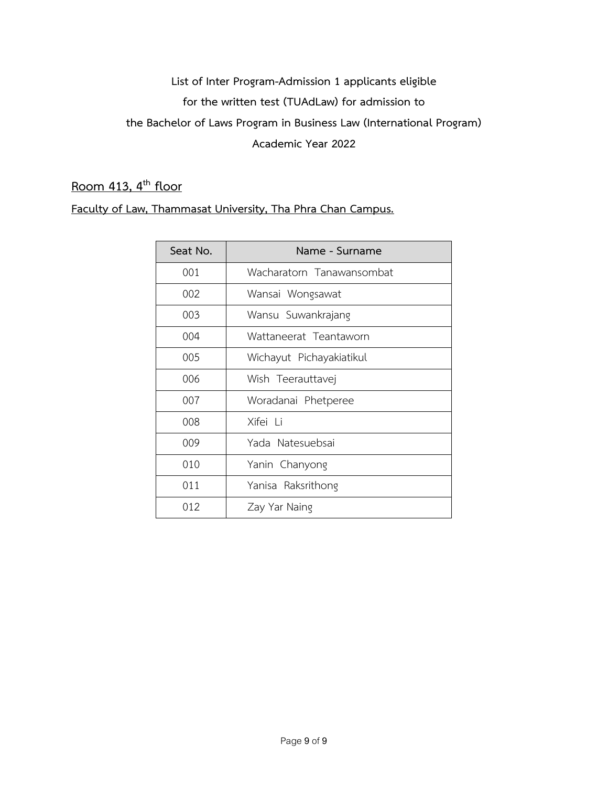## **Room 413, 4 th floor**

| Seat No. | Name - Surname            |
|----------|---------------------------|
| 001      | Wacharatorn Tanawansombat |
| 002      | Wansai Wongsawat          |
| 003      | Wansu Suwankrajang        |
| 004      | Wattaneerat Teantaworn    |
| 005      | Wichayut Pichayakiatikul  |
| 006      | Wish Teerauttavej         |
| 007      | Woradanai Phetperee       |
| 008      | Xifei Li                  |
| 009      | Yada Natesuebsai          |
| 010      | Yanin Chanyong            |
| 011      | Yanisa Raksrithong        |
| 012      | Zay Yar Naing             |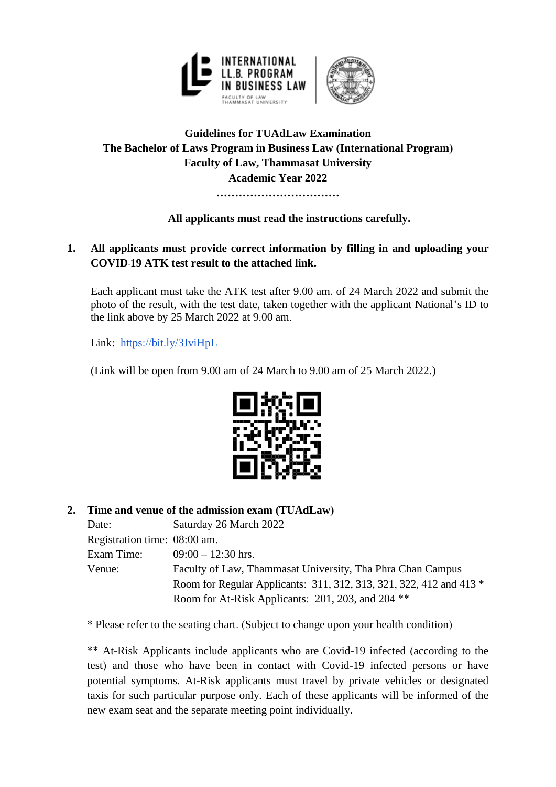

## **Guidelines for TUAdLaw Examination The Bachelor of Laws Program in Business Law (International Program) Faculty of Law, Thammasat University Academic Year 2022**

**……………………………**

## **All applicants must read the instructions carefully.**

## **1. All applicants must provide correct information by filling in and uploading your COVID-19 ATK test result to the attached link.**

Each applicant must take the ATK test after 9.00 am. of 24 March 2022 and submit the photo of the result, with the test date, taken together with the applicant National's ID to the link above by 25 March 2022 at 9.00 am.

Link: <https://bit.ly/3JviHpL>

(Link will be open from 9.00 am of 24 March to 9.00 am of 25 March 2022.)



## **2. Time and venue of the admission exam (TUAdLaw)**

| Date:                        | Saturday 26 March 2022                                              |
|------------------------------|---------------------------------------------------------------------|
| Registration time: 08:00 am. |                                                                     |
| Exam Time:                   | $09:00 - 12:30$ hrs.                                                |
| Venue:                       | Faculty of Law, Thammasat University, Tha Phra Chan Campus          |
|                              | Room for Regular Applicants: 311, 312, 313, 321, 322, 412 and 413 * |
|                              | Room for At-Risk Applicants: 201, 203, and 204 <sup>**</sup>        |

\* Please refer to the seating chart. (Subject to change upon your health condition)

\*\* At-Risk Applicants include applicants who are Covid-19 infected (according to the test) and those who have been in contact with Covid-19 infected persons or have potential symptoms. At-Risk applicants must travel by private vehicles or designated taxis for such particular purpose only. Each of these applicants will be informed of the new exam seat and the separate meeting point individually.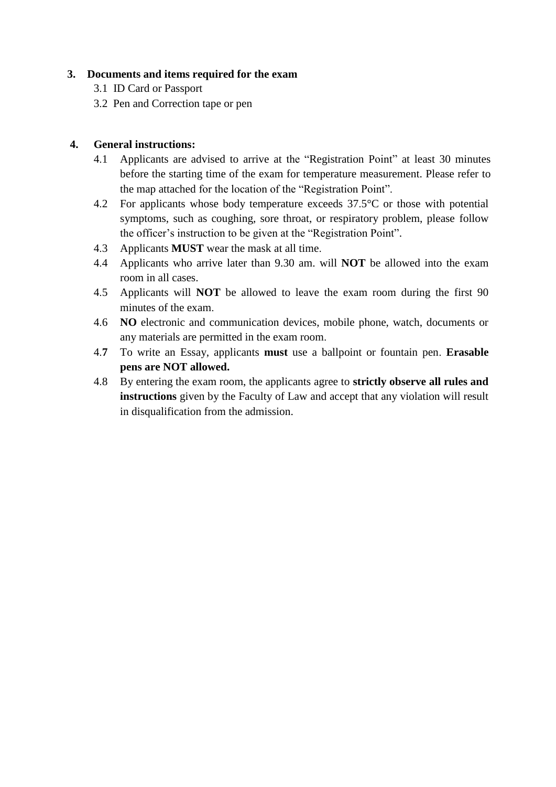### **3. Documents and items required for the exam**

- 3.1 ID Card or Passport
- 3.2 Pen and Correction tape or pen

### **4. General instructions:**

- 4.1 Applicants are advised to arrive at the "Registration Point" at least 30 minutes before the starting time of the exam for temperature measurement. Please refer to the map attached for the location of the "Registration Point".
- 4.2 For applicants whose body temperature exceeds 37.5°C or those with potential symptoms, such as coughing, sore throat, or respiratory problem, please follow the officer's instruction to be given at the "Registration Point".
- 4.3 Applicants **MUST** wear the mask at all time.
- 4.4 Applicants who arrive later than 9.30 am. will **NOT** be allowed into the exam room in all cases.
- 4.5 Applicants will **NOT** be allowed to leave the exam room during the first 90 minutes of the exam.
- 4.6 **NO** electronic and communication devices, mobile phone, watch, documents or any materials are permitted in the exam room.
- 4.**7** To write an Essay, applicants **must** use a ballpoint or fountain pen. **Erasable pens are NOT allowed.**
- 4.8 By entering the exam room, the applicants agree to **strictly observe all rules and instructions** given by the Faculty of Law and accept that any violation will result in disqualification from the admission.